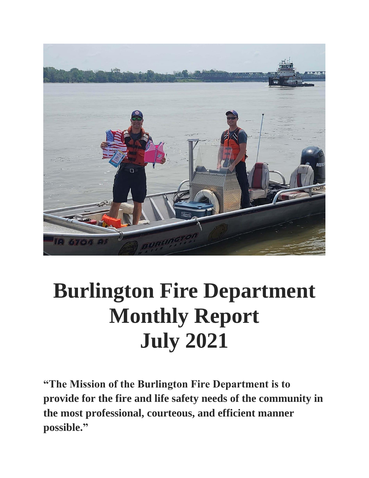

# **Burlington Fire Department Monthly Report July 2021**

**"The Mission of the Burlington Fire Department is to provide for the fire and life safety needs of the community in the most professional, courteous, and efficient manner possible."**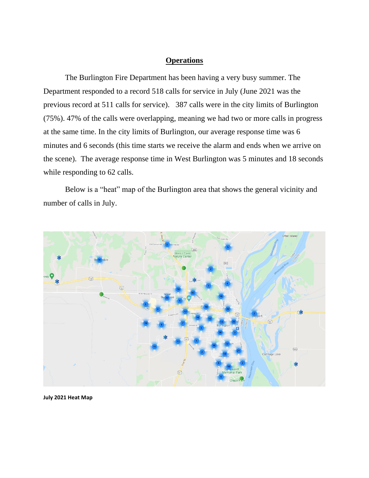#### **Operations**

The Burlington Fire Department has been having a very busy summer. The Department responded to a record 518 calls for service in July (June 2021 was the previous record at 511 calls for service). 387 calls were in the city limits of Burlington (75%). 47% of the calls were overlapping, meaning we had two or more calls in progress at the same time. In the city limits of Burlington, our average response time was 6 minutes and 6 seconds (this time starts we receive the alarm and ends when we arrive on the scene). The average response time in West Burlington was 5 minutes and 18 seconds while responding to 62 calls.

Below is a "heat" map of the Burlington area that shows the general vicinity and number of calls in July.



**July 2021 Heat Map**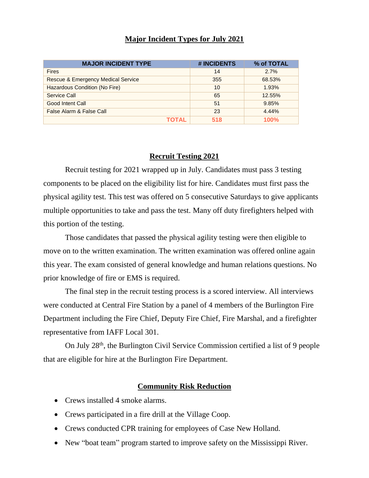### **Major Incident Types for July 2021**

| <b>MAJOR INCIDENT TYPE</b>         | # INCIDENTS | % of TOTAL |
|------------------------------------|-------------|------------|
| <b>Fires</b>                       | 14          | 2.7%       |
| Rescue & Emergency Medical Service | 355         | 68.53%     |
| Hazardous Condition (No Fire)      | 10          | 1.93%      |
| Service Call                       | 65          | 12.55%     |
| Good Intent Call                   | 51          | 9.85%      |
| False Alarm & False Call           | 23          | 4.44%      |
|                                    | 518         | 100%       |

#### **Recruit Testing 2021**

Recruit testing for 2021 wrapped up in July. Candidates must pass 3 testing components to be placed on the eligibility list for hire. Candidates must first pass the physical agility test. This test was offered on 5 consecutive Saturdays to give applicants multiple opportunities to take and pass the test. Many off duty firefighters helped with this portion of the testing.

Those candidates that passed the physical agility testing were then eligible to move on to the written examination. The written examination was offered online again this year. The exam consisted of general knowledge and human relations questions. No prior knowledge of fire or EMS is required.

The final step in the recruit testing process is a scored interview. All interviews were conducted at Central Fire Station by a panel of 4 members of the Burlington Fire Department including the Fire Chief, Deputy Fire Chief, Fire Marshal, and a firefighter representative from IAFF Local 301.

On July 28<sup>th</sup>, the Burlington Civil Service Commission certified a list of 9 people that are eligible for hire at the Burlington Fire Department.

#### **Community Risk Reduction**

- Crews installed 4 smoke alarms.
- Crews participated in a fire drill at the Village Coop.
- Crews conducted CPR training for employees of Case New Holland.
- New "boat team" program started to improve safety on the Mississippi River.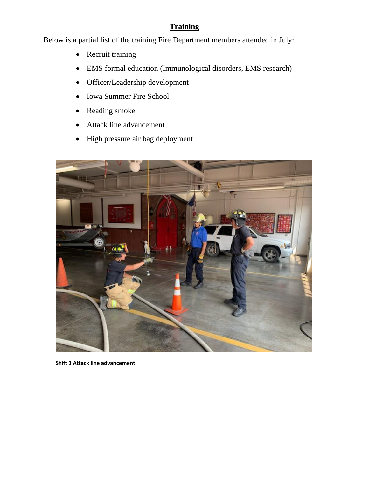## **Training**

Below is a partial list of the training Fire Department members attended in July:

- Recruit training
- EMS formal education (Immunological disorders, EMS research)
- Officer/Leadership development
- Iowa Summer Fire School
- Reading smoke
- Attack line advancement
- High pressure air bag deployment



 **Shift 3 Attack line advancement**